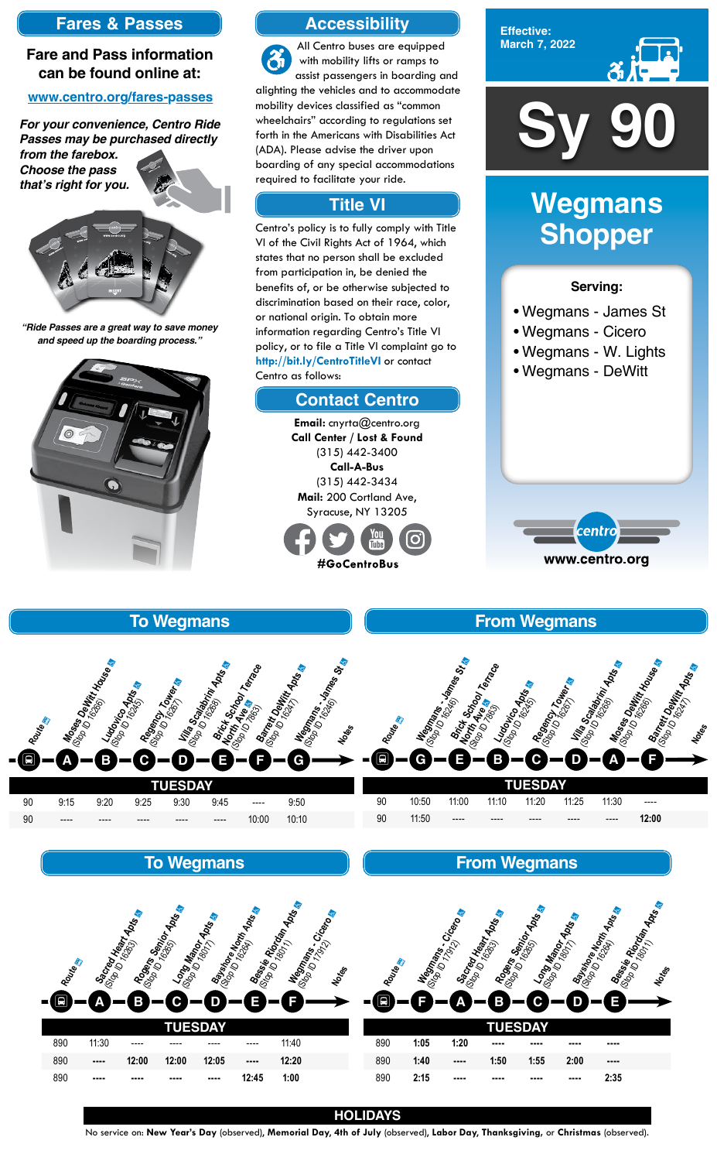

**Effective: March 7, 2022**



#### **Serving:**

- Wegmans James St
- Wegmans Cicero
- Wegmans W. Lights
- Wegmans DeWitt



# **Wegmans Shopper**

| <b>TUESDAY</b> |       |       |           |       |       |       |          |  |  |
|----------------|-------|-------|-----------|-------|-------|-------|----------|--|--|
| 90             | 10:50 | 11:00 | 11:10     | 11:20 | 11:25 | 11:30 | $\cdots$ |  |  |
| 90             | 11:50 | $---$ | $- - - -$ | ----  | ----  | $---$ | 12:00    |  |  |

**From Wegmans**

#### **TUESDAY** 90 9:15 9:20 9:25 9:30 9:45 ---- 9:50 90 ---- ---- ---- ---- ---- 10:00 10:10



**Route** a

¿

## **To Wegmans**



## **To Wegmans**

| Routes |           | Sacrey Keart Apts | Rogers Senior Apis | <b>Long Manch</b><br><sup>Glob</sup> De Manch Apts | <b>Baysing Maritimes Ross</b> | Bessie Rico<br><sup>Octob</sup> (Picorda Apis)<br>Negman City Creep | Routes | <b>Megmans</b> | Cricero  | Sacred Heavy Apres<br>Rogers Semior | Apts<br><b>Long Mano</b> | <b>Apts</b> | Bessie Richard Mssell<br>Rayshore No. 2001 |  |
|--------|-----------|-------------------|--------------------|----------------------------------------------------|-------------------------------|---------------------------------------------------------------------|--------|----------------|----------|-------------------------------------|--------------------------|-------------|--------------------------------------------|--|
|        |           |                   |                    |                                                    |                               |                                                                     | Đ      |                |          | Β                                   |                          |             | ш                                          |  |
|        |           |                   |                    | <b>TUESDAY</b>                                     |                               |                                                                     |        |                |          | τι                                  | <b>JESDAY</b>            |             |                                            |  |
| 890    | 11:30     | ----              | ----               | ----                                               | ----                          | 11:40                                                               | 890    | 1:05           | 1:20     | ----                                | ----                     | ----        | ----                                       |  |
| 890    | $\cdots$  | 12:00             | 12:00              | 12:05                                              | $\cdots$                      | 12:20                                                               | 890    | 1:40           | $\cdots$ | 1:50                                | 1:55                     | 2:00        | ----                                       |  |
| 890    | $- - - -$ | ----              | ----               | ----                                               | 12:45                         | 1:00                                                                | 890    | 2:15           | ----     | ----                                | ----                     | ----        | 2:35                                       |  |

#### **From Wegmans**

#### **HOLIDAYS**

No service on: **New Year's Day** (observed), **Memorial Day**, **4th of July** (observed), **Labor Day**, **Thanksgiving,** or **Christmas** (observed).

## **Accessibility**

## **Contact Centro**

# **Title VI**

All Centro buses are equipped with mobility lifts or ramps to assist passengers in boarding and alighting the vehicles and to accommodate mobility devices classified as "common wheelchairs" according to regulations set forth in the Americans with Disabilities Act (ADA). Please advise the driver upon boarding of any special accommodations required to facilitate your ride.

Centro's policy is to fully comply with Title VI of the Civil Rights Act of 1964, which states that no person shall be excluded from participation in, be denied the benefits of, or be otherwise subjected to discrimination based on their race, color, or national origin. To obtain more information regarding Centro's Title VI policy, or to file a Title VI complaint go to **http://bit.ly/CentroTitleVI** or contact Centro as follows:

> **Email:** cnyrta@centro.org **Call Center / Lost & Found** (315) 442-3400 **Call-A-Bus** (315) 442-3434 **Mail:** 200 Cortland Ave, Syracuse, NY 13205



## **Fares & Passes**

#### **Fare and Pass information can be found online at:**

#### **www.centro.org/fares-passes**

*"Ride Passes are a great way to save money and speed up the boarding process."*



*For your convenience, Centro Ride Passes may be purchased directly* 

*from the farebox. Choose the pass that's right for you.*



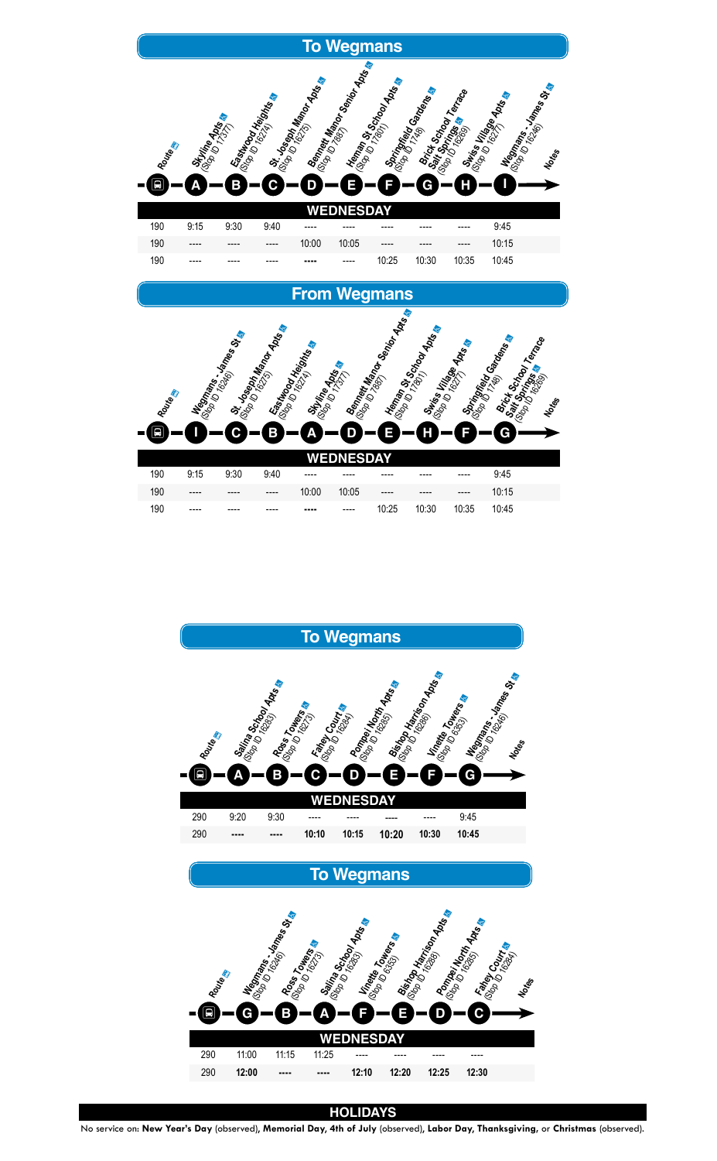



## **To Wegmans**



#### **HOLIDAYS**

No service on: **New Year's Day** (observed), **Memorial Day**, **4th of July** (observed), **Labor Day**, **Thanksgiving,** or **Christmas** (observed).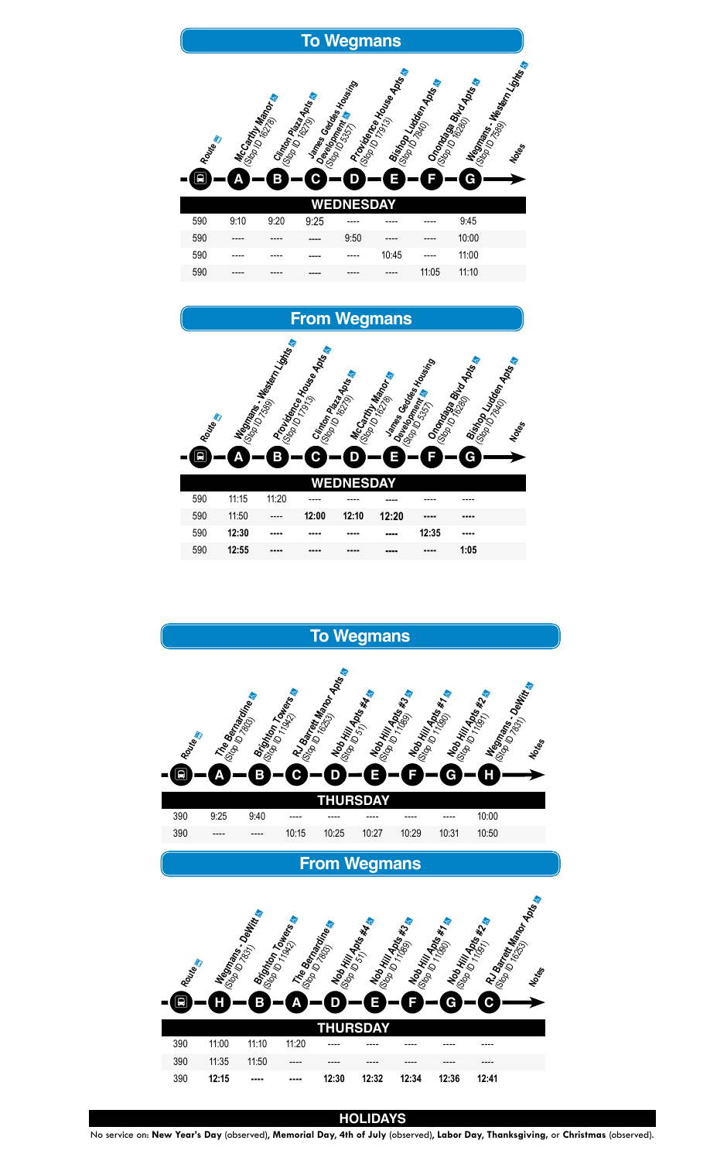

# **From Wegmans**

| Route<br>특 | Н     | <b>INGOTIANS</b><br>Β | <b>Brighton Trapes</b><br>А | I The Bernardine | Note Hill Apts #4<br>ш | Note Hill Apts #3<br>F | Nobo Hill Apts #1 &<br>G | Nob Hill Apts #2 | RJ Barett Manor Apts |
|------------|-------|-----------------------|-----------------------------|------------------|------------------------|------------------------|--------------------------|------------------|----------------------|
|            |       |                       |                             |                  | <b>HURSDAY</b>         |                        |                          |                  |                      |
| 390        | 11:00 | 11:10                 | 11:20                       |                  |                        |                        |                          |                  |                      |
| 390        | 11:35 | 11:50                 |                             |                  |                        |                        |                          |                  |                      |
| 390        | 12:15 |                       |                             | 12:30            | 12:32                  | 12:34                  | 12:36                    | 12:41            |                      |

| 590 | $- - - -$ | $- - - -$ | ---- | 9:50      | $---$ | ----  |       |  |
|-----|-----------|-----------|------|-----------|-------|-------|-------|--|
| 590 | $---$     | $- - - -$ | ---- | $---$     | 10:45 | $---$ | 1:00  |  |
| 590 | $- - - -$ | ----      | ---- | $- - - -$ | $---$ | 11:05 | 11:10 |  |





#### **HOLIDAYS**

No service on: **New Year's Day** (observed), **Memorial Day**, **4th of July** (observed), **Labor Day**, **Thanksgiving,** or **Christmas** (observed).